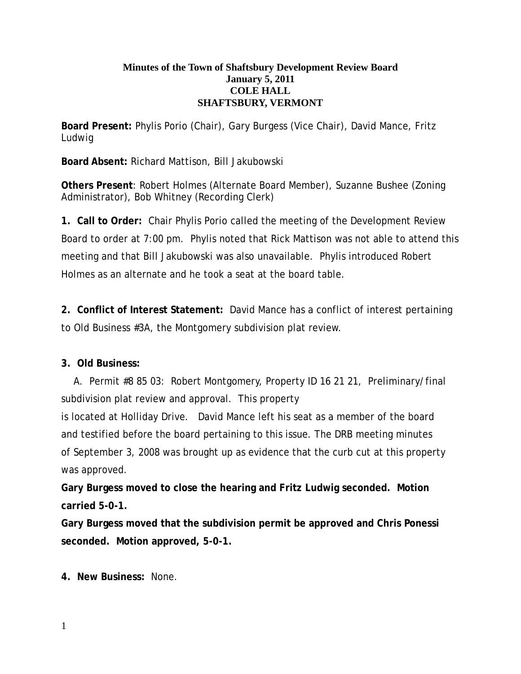## **Minutes of the Town of Shaftsbury Development Review Board January 5, 2011 COLE HALL SHAFTSBURY, VERMONT**

**Board Present:** Phylis Porio (Chair), Gary Burgess (Vice Chair), David Mance, Fritz Ludwig

**Board Absent:** Richard Mattison, Bill Jakubowski

**Others Present**: Robert Holmes (Alternate Board Member), Suzanne Bushee (Zoning Administrator), Bob Whitney (Recording Clerk)

**1. Call to Order:** Chair Phylis Porio called the meeting of the Development Review Board to order at 7:00 pm. Phylis noted that Rick Mattison was not able to attend this meeting and that Bill Jakubowski was also unavailable. Phylis introduced Robert Holmes as an alternate and he took a seat at the board table.

**2. Conflict of Interest Statement:** David Mance has a conflict of interest pertaining to Old Business #3A, the Montgomery subdivision plat review.

## **3. Old Business:**

A. Permit #8 85 03: Robert Montgomery, Property ID 16 21 21, Preliminary/final subdivision plat review and approval. This property

is located at Holliday Drive. David Mance left his seat as a member of the board and testified before the board pertaining to this issue. The DRB meeting minutes of September 3, 2008 was brought up as evidence that the curb cut at this property was approved.

**Gary Burgess moved to close the hearing and Fritz Ludwig seconded. Motion carried 5-0-1.**

**Gary Burgess moved that the subdivision permit be approved and Chris Ponessi seconded. Motion approved, 5-0-1.**

**4. New Business:** None.